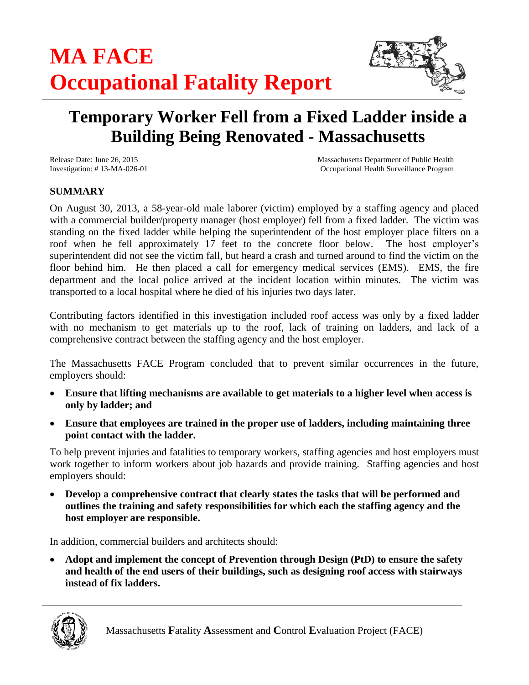

# **Temporary Worker Fell from a Fixed Ladder inside a Building Being Renovated - Massachusetts**

Release Date: June 26, 2015 Massachusetts Department of Public Health Investigation: # 13-MA-026-01 Occupational Health Surveillance Program

## **SUMMARY**

On August 30, 2013, a 58-year-old male laborer (victim) employed by a staffing agency and placed with a commercial builder/property manager (host employer) fell from a fixed ladder. The victim was standing on the fixed ladder while helping the superintendent of the host employer place filters on a roof when he fell approximately 17 feet to the concrete floor below. The host employer's superintendent did not see the victim fall, but heard a crash and turned around to find the victim on the floor behind him. He then placed a call for emergency medical services (EMS). EMS, the fire department and the local police arrived at the incident location within minutes. The victim was transported to a local hospital where he died of his injuries two days later.

Contributing factors identified in this investigation included roof access was only by a fixed ladder with no mechanism to get materials up to the roof, lack of training on ladders, and lack of a comprehensive contract between the staffing agency and the host employer.

The Massachusetts FACE Program concluded that to prevent similar occurrences in the future, employers should:

- **Ensure that lifting mechanisms are available to get materials to a higher level when access is only by ladder; and**
- **Ensure that employees are trained in the proper use of ladders, including maintaining three point contact with the ladder.**

To help prevent injuries and fatalities to temporary workers, staffing agencies and host employers must work together to inform workers about job hazards and provide training. Staffing agencies and host employers should:

 **Develop a comprehensive contract that clearly states the tasks that will be performed and outlines the training and safety responsibilities for which each the staffing agency and the host employer are responsible.**

In addition, commercial builders and architects should:

 **Adopt and implement the concept of Prevention through Design (PtD) to ensure the safety and health of the end users of their buildings, such as designing roof access with stairways instead of fix ladders.**

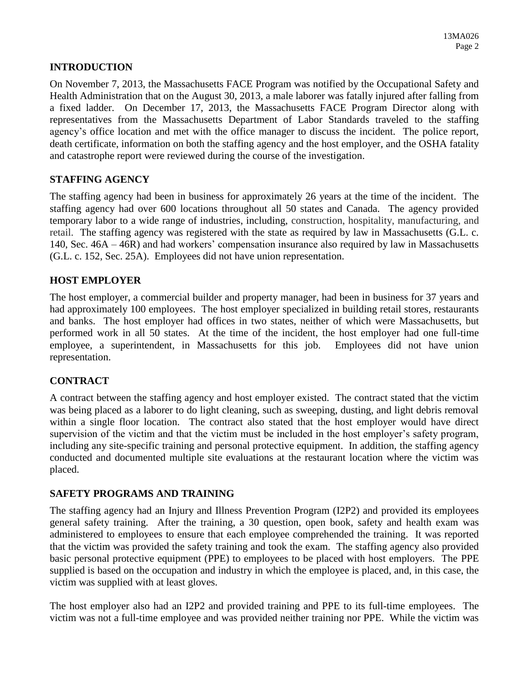#### **INTRODUCTION**

On November 7, 2013, the Massachusetts FACE Program was notified by the Occupational Safety and Health Administration that on the August 30, 2013, a male laborer was fatally injured after falling from a fixed ladder. On December 17, 2013, the Massachusetts FACE Program Director along with representatives from the Massachusetts Department of Labor Standards traveled to the staffing agency's office location and met with the office manager to discuss the incident. The police report, death certificate, information on both the staffing agency and the host employer, and the OSHA fatality and catastrophe report were reviewed during the course of the investigation.

## **STAFFING AGENCY**

The staffing agency had been in business for approximately 26 years at the time of the incident. The staffing agency had over 600 locations throughout all 50 states and Canada. The agency provided temporary labor to a wide range of industries, including, construction, hospitality, manufacturing, and retail. The staffing agency was registered with the state as required by law in Massachusetts (G.L. c. 140, Sec. 46A – 46R) and had workers' compensation insurance also required by law in Massachusetts (G.L. c. 152, Sec. 25A). Employees did not have union representation.

## **HOST EMPLOYER**

The host employer, a commercial builder and property manager, had been in business for 37 years and had approximately 100 employees. The host employer specialized in building retail stores, restaurants and banks. The host employer had offices in two states, neither of which were Massachusetts, but performed work in all 50 states. At the time of the incident, the host employer had one full-time employee, a superintendent, in Massachusetts for this job. Employees did not have union representation.

## **CONTRACT**

A contract between the staffing agency and host employer existed. The contract stated that the victim was being placed as a laborer to do light cleaning, such as sweeping, dusting, and light debris removal within a single floor location. The contract also stated that the host employer would have direct supervision of the victim and that the victim must be included in the host employer's safety program, including any site-specific training and personal protective equipment. In addition, the staffing agency conducted and documented multiple site evaluations at the restaurant location where the victim was placed.

#### **SAFETY PROGRAMS AND TRAINING**

The staffing agency had an Injury and Illness Prevention Program (I2P2) and provided its employees general safety training. After the training, a 30 question, open book, safety and health exam was administered to employees to ensure that each employee comprehended the training. It was reported that the victim was provided the safety training and took the exam. The staffing agency also provided basic personal protective equipment (PPE) to employees to be placed with host employers. The PPE supplied is based on the occupation and industry in which the employee is placed, and, in this case, the victim was supplied with at least gloves.

The host employer also had an I2P2 and provided training and PPE to its full-time employees. The victim was not a full-time employee and was provided neither training nor PPE. While the victim was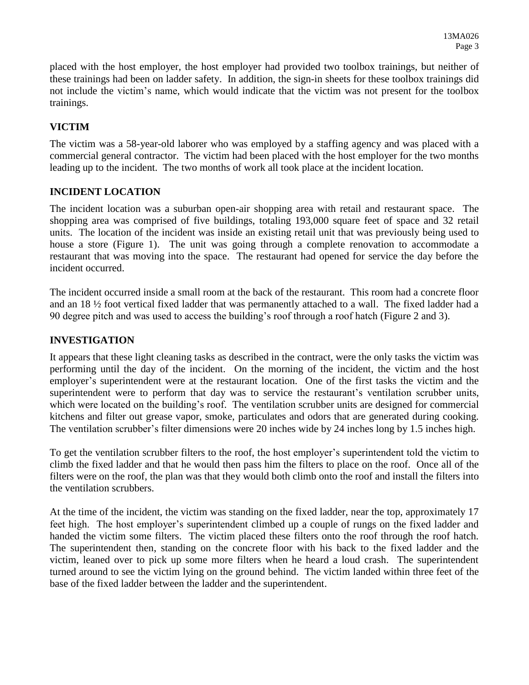placed with the host employer, the host employer had provided two toolbox trainings, but neither of these trainings had been on ladder safety. In addition, the sign-in sheets for these toolbox trainings did not include the victim's name, which would indicate that the victim was not present for the toolbox trainings.

## **VICTIM**

The victim was a 58-year-old laborer who was employed by a staffing agency and was placed with a commercial general contractor. The victim had been placed with the host employer for the two months leading up to the incident. The two months of work all took place at the incident location.

## **INCIDENT LOCATION**

The incident location was a suburban open-air shopping area with retail and restaurant space. The shopping area was comprised of five buildings, totaling 193,000 square feet of space and 32 retail units. The location of the incident was inside an existing retail unit that was previously being used to house a store (Figure 1). The unit was going through a complete renovation to accommodate a restaurant that was moving into the space. The restaurant had opened for service the day before the incident occurred.

The incident occurred inside a small room at the back of the restaurant. This room had a concrete floor and an 18 ½ foot vertical fixed ladder that was permanently attached to a wall. The fixed ladder had a 90 degree pitch and was used to access the building's roof through a roof hatch (Figure 2 and 3).

## **INVESTIGATION**

It appears that these light cleaning tasks as described in the contract, were the only tasks the victim was performing until the day of the incident. On the morning of the incident, the victim and the host employer's superintendent were at the restaurant location. One of the first tasks the victim and the superintendent were to perform that day was to service the restaurant's ventilation scrubber units, which were located on the building's roof. The ventilation scrubber units are designed for commercial kitchens and filter out grease vapor, smoke, particulates and odors that are generated during cooking. The ventilation scrubber's filter dimensions were 20 inches wide by 24 inches long by 1.5 inches high.

To get the ventilation scrubber filters to the roof, the host employer's superintendent told the victim to climb the fixed ladder and that he would then pass him the filters to place on the roof. Once all of the filters were on the roof, the plan was that they would both climb onto the roof and install the filters into the ventilation scrubbers.

At the time of the incident, the victim was standing on the fixed ladder, near the top, approximately 17 feet high. The host employer's superintendent climbed up a couple of rungs on the fixed ladder and handed the victim some filters. The victim placed these filters onto the roof through the roof hatch. The superintendent then, standing on the concrete floor with his back to the fixed ladder and the victim, leaned over to pick up some more filters when he heard a loud crash. The superintendent turned around to see the victim lying on the ground behind. The victim landed within three feet of the base of the fixed ladder between the ladder and the superintendent.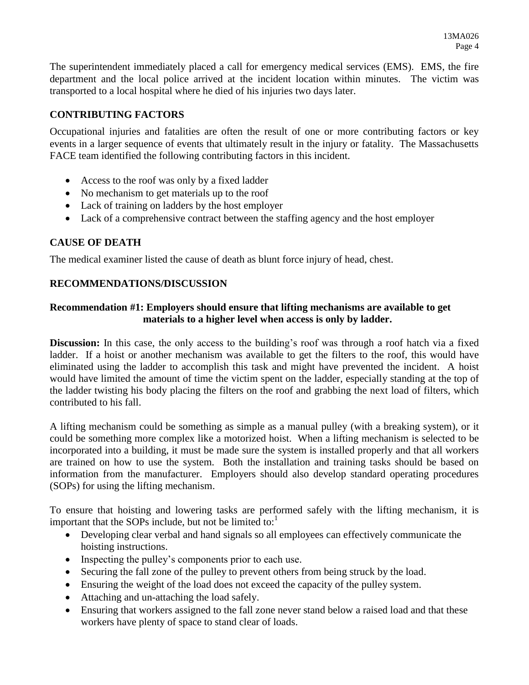The superintendent immediately placed a call for emergency medical services (EMS). EMS, the fire department and the local police arrived at the incident location within minutes. The victim was transported to a local hospital where he died of his injuries two days later.

## **CONTRIBUTING FACTORS**

Occupational injuries and fatalities are often the result of one or more contributing factors or key events in a larger sequence of events that ultimately result in the injury or fatality. The Massachusetts FACE team identified the following contributing factors in this incident.

- Access to the roof was only by a fixed ladder
- No mechanism to get materials up to the roof
- Lack of training on ladders by the host employer
- Lack of a comprehensive contract between the staffing agency and the host employer

## **CAUSE OF DEATH**

The medical examiner listed the cause of death as blunt force injury of head, chest.

## **RECOMMENDATIONS/DISCUSSION**

#### **Recommendation #1: Employers should ensure that lifting mechanisms are available to get materials to a higher level when access is only by ladder.**

**Discussion:** In this case, the only access to the building's roof was through a roof hatch via a fixed ladder. If a hoist or another mechanism was available to get the filters to the roof, this would have eliminated using the ladder to accomplish this task and might have prevented the incident. A hoist would have limited the amount of time the victim spent on the ladder, especially standing at the top of the ladder twisting his body placing the filters on the roof and grabbing the next load of filters, which contributed to his fall.

A lifting mechanism could be something as simple as a manual pulley (with a breaking system), or it could be something more complex like a motorized hoist. When a lifting mechanism is selected to be incorporated into a building, it must be made sure the system is installed properly and that all workers are trained on how to use the system. Both the installation and training tasks should be based on information from the manufacturer. Employers should also develop standard operating procedures (SOPs) for using the lifting mechanism.

To ensure that hoisting and lowering tasks are performed safely with the lifting mechanism, it is important that the SOPs include, but not be limited to: $<sup>1</sup>$ </sup>

- Developing clear verbal and hand signals so all employees can effectively communicate the hoisting instructions.
- Inspecting the pulley's components prior to each use.
- Securing the fall zone of the pulley to prevent others from being struck by the load.
- Ensuring the weight of the load does not exceed the capacity of the pulley system.
- Attaching and un-attaching the load safely.
- Ensuring that workers assigned to the fall zone never stand below a raised load and that these workers have plenty of space to stand clear of loads.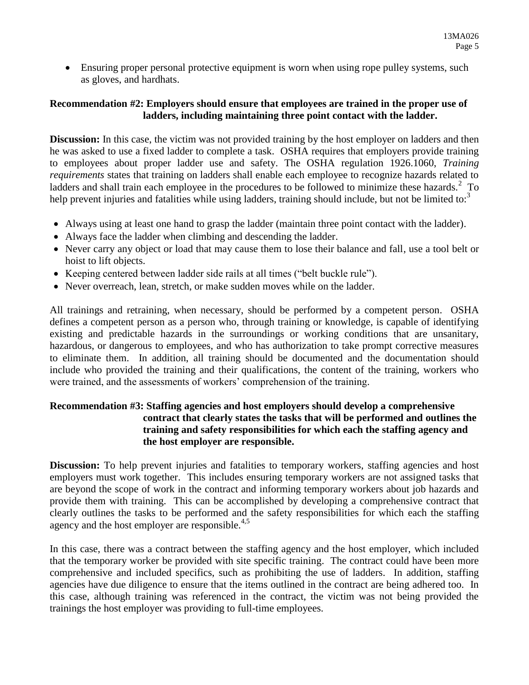Ensuring proper personal protective equipment is worn when using rope pulley systems, such as gloves, and hardhats.

## **Recommendation #2: Employers should ensure that employees are trained in the proper use of ladders, including maintaining three point contact with the ladder.**

**Discussion:** In this case, the victim was not provided training by the host employer on ladders and then he was asked to use a fixed ladder to complete a task. OSHA requires that employers provide training to employees about proper ladder use and safety. The OSHA regulation 1926.1060, *Training requirements* states that training on ladders shall enable each employee to recognize hazards related to ladders and shall train each employee in the procedures to be followed to minimize these hazards.<sup>2</sup> To help prevent injuries and fatalities while using ladders, training should include, but not be limited to:<sup>3</sup>

- Always using at least one hand to grasp the ladder (maintain three point contact with the ladder).
- Always face the ladder when climbing and descending the ladder.
- Never carry any object or load that may cause them to lose their balance and fall, use a tool belt or hoist to lift objects.
- Keeping centered between ladder side rails at all times ("belt buckle rule").
- Never overreach, lean, stretch, or make sudden moves while on the ladder.

All trainings and retraining, when necessary, should be performed by a competent person. OSHA defines a competent person as a person who, through training or knowledge, is capable of identifying existing and predictable hazards in the surroundings or working conditions that are unsanitary, hazardous, or dangerous to employees, and who has authorization to take prompt corrective measures to eliminate them. In addition, all training should be documented and the documentation should include who provided the training and their qualifications, the content of the training, workers who were trained, and the assessments of workers' comprehension of the training.

#### **Recommendation #3: Staffing agencies and host employers should develop a comprehensive contract that clearly states the tasks that will be performed and outlines the training and safety responsibilities for which each the staffing agency and the host employer are responsible.**

**Discussion:** To help prevent injuries and fatalities to temporary workers, staffing agencies and host employers must work together. This includes ensuring temporary workers are not assigned tasks that are beyond the scope of work in the contract and informing temporary workers about job hazards and provide them with training. This can be accomplished by developing a comprehensive contract that clearly outlines the tasks to be performed and the safety responsibilities for which each the staffing agency and the host employer are responsible. $4,5$ 

In this case, there was a contract between the staffing agency and the host employer, which included that the temporary worker be provided with site specific training. The contract could have been more comprehensive and included specifics, such as prohibiting the use of ladders. In addition, staffing agencies have due diligence to ensure that the items outlined in the contract are being adhered too. In this case, although training was referenced in the contract, the victim was not being provided the trainings the host employer was providing to full-time employees.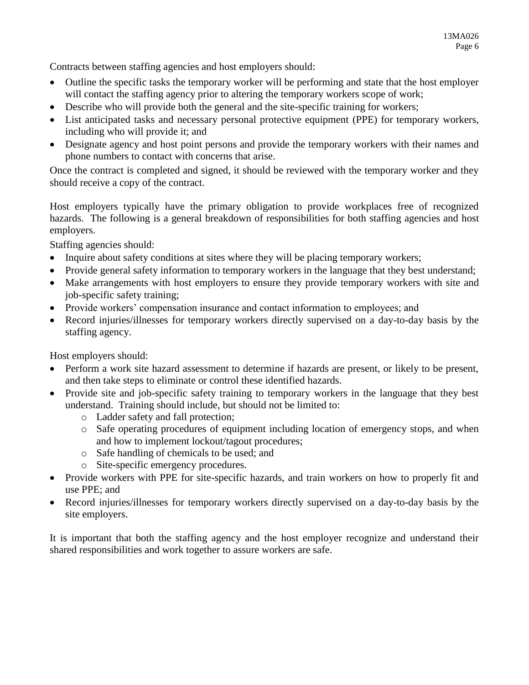Contracts between staffing agencies and host employers should:

- Outline the specific tasks the temporary worker will be performing and state that the host employer will contact the staffing agency prior to altering the temporary workers scope of work;
- Describe who will provide both the general and the site-specific training for workers;
- List anticipated tasks and necessary personal protective equipment (PPE) for temporary workers, including who will provide it; and
- Designate agency and host point persons and provide the temporary workers with their names and phone numbers to contact with concerns that arise.

Once the contract is completed and signed, it should be reviewed with the temporary worker and they should receive a copy of the contract.

Host employers typically have the primary obligation to provide workplaces free of recognized hazards. The following is a general breakdown of responsibilities for both staffing agencies and host employers.

Staffing agencies should:

- Inquire about safety conditions at sites where they will be placing temporary workers;
- Provide general safety information to temporary workers in the language that they best understand;
- Make arrangements with host employers to ensure they provide temporary workers with site and job-specific safety training;
- Provide workers' compensation insurance and contact information to employees; and
- Record injuries/illnesses for temporary workers directly supervised on a day-to-day basis by the staffing agency.

Host employers should:

- Perform a work site hazard assessment to determine if hazards are present, or likely to be present, and then take steps to eliminate or control these identified hazards.
- Provide site and job-specific safety training to temporary workers in the language that they best understand. Training should include, but should not be limited to:
	- o Ladder safety and fall protection;
	- o Safe operating procedures of equipment including location of emergency stops, and when and how to implement lockout/tagout procedures;
	- o Safe handling of chemicals to be used; and
	- o Site-specific emergency procedures.
- Provide workers with PPE for site-specific hazards, and train workers on how to properly fit and use PPE; and
- Record injuries/illnesses for temporary workers directly supervised on a day-to-day basis by the site employers.

It is important that both the staffing agency and the host employer recognize and understand their shared responsibilities and work together to assure workers are safe.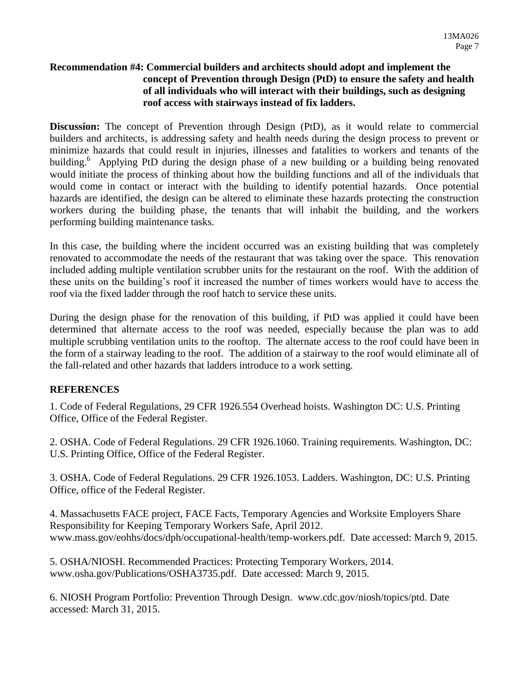#### **Recommendation #4: Commercial builders and architects should adopt and implement the concept of Prevention through Design (PtD) to ensure the safety and health of all individuals who will interact with their buildings, such as designing roof access with stairways instead of fix ladders.**

**Discussion:** The concept of Prevention through Design (PtD), as it would relate to commercial builders and architects, is addressing safety and health needs during the design process to prevent or minimize hazards that could result in injuries, illnesses and fatalities to workers and tenants of the building.<sup>6</sup> Applying PtD during the design phase of a new building or a building being renovated would initiate the process of thinking about how the building functions and all of the individuals that would come in contact or interact with the building to identify potential hazards. Once potential hazards are identified, the design can be altered to eliminate these hazards protecting the construction workers during the building phase, the tenants that will inhabit the building, and the workers performing building maintenance tasks.

In this case, the building where the incident occurred was an existing building that was completely renovated to accommodate the needs of the restaurant that was taking over the space. This renovation included adding multiple ventilation scrubber units for the restaurant on the roof. With the addition of these units on the building's roof it increased the number of times workers would have to access the roof via the fixed ladder through the roof hatch to service these units.

During the design phase for the renovation of this building, if PtD was applied it could have been determined that alternate access to the roof was needed, especially because the plan was to add multiple scrubbing ventilation units to the rooftop. The alternate access to the roof could have been in the form of a stairway leading to the roof. The addition of a stairway to the roof would eliminate all of the fall-related and other hazards that ladders introduce to a work setting.

## **REFERENCES**

1. Code of Federal Regulations, 29 CFR 1926.554 Overhead hoists. Washington DC: U.S. Printing Office, Office of the Federal Register.

2. OSHA. Code of Federal Regulations. 29 CFR 1926.1060. Training requirements. Washington, DC: U.S. Printing Office, Office of the Federal Register.

3. OSHA. Code of Federal Regulations. 29 CFR 1926.1053. Ladders. Washington, DC: U.S. Printing Office, office of the Federal Register.

4. Massachusetts FACE project, FACE Facts, Temporary Agencies and Worksite Employers Share Responsibility for Keeping Temporary Workers Safe, April 2012. www.mass.gov/eohhs/docs/dph/occupational-health/temp-workers.pdf. Date accessed: March 9, 2015.

5. OSHA/NIOSH. Recommended Practices: Protecting Temporary Workers, 2014. www.osha.gov/Publications/OSHA3735.pdf. Date accessed: March 9, 2015.

6. NIOSH Program Portfolio: Prevention Through Design. www.cdc.gov/niosh/topics/ptd. Date accessed: March 31, 2015.